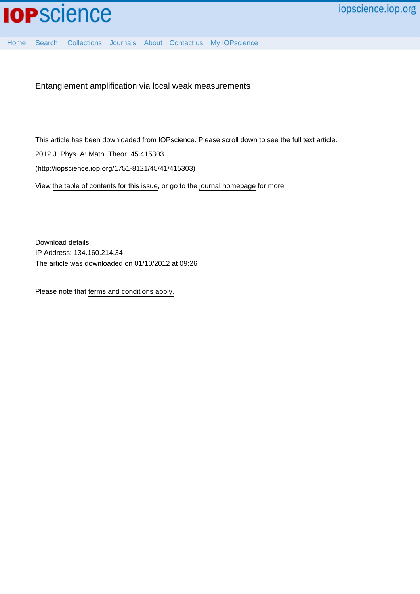[Home](http://iopscience.iop.org/) [Search](http://iopscience.iop.org/search) [Collections](http://iopscience.iop.org/collections) [Journals](http://iopscience.iop.org/journals) [About](http://iopscience.iop.org/page/aboutioppublishing) [Contact us](http://iopscience.iop.org/contact) [My IOPscience](http://iopscience.iop.org/myiopscience)

Entanglement amplification via local weak measurements

This article has been downloaded from IOPscience. Please scroll down to see the full text article.

2012 J. Phys. A: Math. Theor. 45 415303

(http://iopscience.iop.org/1751-8121/45/41/415303)

View [the table of contents for this issue](http://iopscience.iop.org/1751-8121/45/41), or go to the [journal homepage](http://iopscience.iop.org/1751-8121) for more

Download details: IP Address: 134.160.214.34 The article was downloaded on 01/10/2012 at 09:26

Please note that [terms and conditions apply.](http://iopscience.iop.org/page/terms)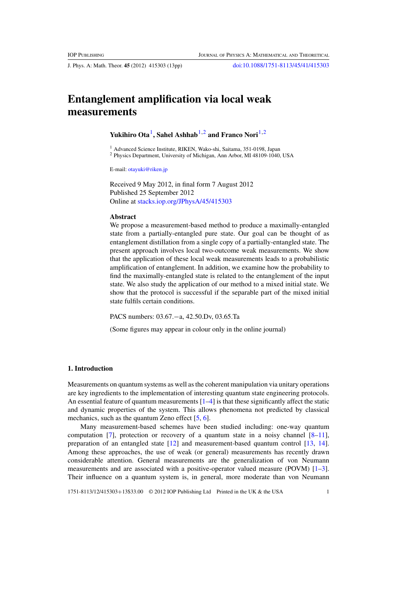J. Phys. A: Math. Theor. **45** (2012) 415303 (13pp) [doi:10.1088/1751-8113/45/41/415303](http://dx.doi.org/10.1088/1751-8113/45/41/415303)

# **Entanglement amplification via local weak measurements**

**Yukihiro Ota<sup>1</sup>, Sahel Ashhab**<sup>1,2</sup> and Franco Nori<sup>1,2</sup>

<sup>1</sup> Advanced Science Institute, RIKEN, Wako-shi, Saitama, 351-0198, Japan

<sup>2</sup> Physics Department, University of Michigan, Ann Arbor, MI 48109-1040, USA

E-mail: [otayuki@riken.jp](mailto:otayuki@riken.jp)

Received 9 May 2012, in final form 7 August 2012 Published 25 September 2012 Online at [stacks.iop.org/JPhysA/45/415303](http://stacks.iop.org/JPhysA/45/415303)

#### **Abstract**

We propose a measurement-based method to produce a maximally-entangled state from a partially-entangled pure state. Our goal can be thought of as entanglement distillation from a single copy of a partially-entangled state. The present approach involves local two-outcome weak measurements. We show that the application of these local weak measurements leads to a probabilistic amplification of entanglement. In addition, we examine how the probability to find the maximally-entangled state is related to the entanglement of the input state. We also study the application of our method to a mixed initial state. We show that the protocol is successful if the separable part of the mixed initial state fulfils certain conditions.

PACS numbers: 03.67.−a, 42.50.Dv, 03.65.Ta

(Some figures may appear in colour only in the online journal)

# **1. Introduction**

Measurements on quantum systems as well as the coherent manipulation via unitary operations are key ingredients to the implementation of interesting quantum state engineering protocols. An essential feature of quantum measurements  $[1-4]$  is that these significantly affect the static and dynamic properties of the system. This allows phenomena not predicted by classical mechanics, such as the quantum Zeno effect [\[5,](#page-13-0) [6\]](#page-13-0).

Many measurement-based schemes have been studied including: one-way quantum computation [\[7\]](#page-13-0), protection or recovery of a quantum state in a noisy channel  $[8-11]$ , preparation of an entangled state [\[12](#page-13-0)] and measurement-based quantum control [\[13](#page-13-0), [14\]](#page-13-0). Among these approaches, the use of weak (or general) measurements has recently drawn considerable attention. General measurements are the generalization of von Neumann measurements and are associated with a positive-operator valued measure (POVM) [\[1–3\]](#page-13-0). Their influence on a quantum system is, in general, more moderate than von Neumann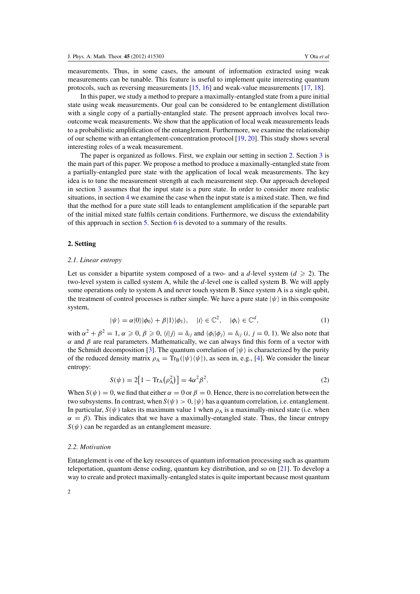<span id="page-2-0"></span>measurements. Thus, in some cases, the amount of information extracted using weak measurements can be tunable. This feature is useful to implement quite interesting quantum protocols, such as reversing measurements [\[15](#page-13-0), [16](#page-13-0)] and weak-value measurements [\[17](#page-13-0), [18\]](#page-13-0).

In this paper, we study a method to prepare a maximally-entangled state from a pure initial state using weak measurements. Our goal can be considered to be entanglement distillation with a single copy of a partially-entangled state. The present approach involves local twooutcome weak measurements. We show that the application of local weak measurements leads to a probabilistic amplification of the entanglement. Furthermore, we examine the relationship of our scheme with an entanglement-concentration protocol [\[19](#page-13-0), [20\]](#page-13-0). This study shows several interesting roles of a weak measurement.

The paper is organized as follows. First, we explain our setting in section 2. Section [3](#page-4-0) is the main part of this paper. We propose a method to produce a maximally-entangled state from a partially-entangled pure state with the application of local weak measurements. The key idea is to tune the measurement strength at each measurement step. Our approach developed in section [3](#page-4-0) assumes that the input state is a pure state. In order to consider more realistic situations, in section [4](#page-7-0) we examine the case when the input state is a mixed state. Then, we find that the method for a pure state still leads to entanglement amplification if the separable part of the initial mixed state fulfils certain conditions. Furthermore, we discuss the extendability of this approach in section [5.](#page-12-0) Section [6](#page-12-0) is devoted to a summary of the results.

# **2. Setting**

#### *2.1. Linear entropy*

Let us consider a bipartite system composed of a two- and a  $d$ -level system ( $d \ge 2$ ). The two-level system is called system A, while the *d*-level one is called system B. We will apply some operations only to system A and never touch system B. Since system A is a single qubit, the treatment of control processes is rather simple. We have a pure state  $|\psi\rangle$  in this composite system,

$$
|\psi\rangle = \alpha|0\rangle|\phi_0\rangle + \beta|1\rangle|\phi_1\rangle, \quad |i\rangle \in \mathbb{C}^2, \quad |\phi_i\rangle \in \mathbb{C}^d,
$$
 (1)

with  $\alpha^2 + \beta^2 = 1$ ,  $\alpha \ge 0$ ,  $\beta \ge 0$ ,  $\langle i | j \rangle = \delta_{ij}$  and  $\langle \phi_i | \phi_j \rangle = \delta_{ij}$  (*i*, *j* = 0, 1). We also note that  $\alpha$  and  $\beta$  are real parameters. Mathematically, we can always find this form of a vector with the Schmidt decomposition [\[3](#page-13-0)]. The quantum correlation of  $|\psi\rangle$  is characterized by the purity of the reduced density matrix  $\rho_A = Tr_B(|\psi\rangle \langle \psi|)$ , as seen in, e.g., [\[4\]](#page-13-0). We consider the linear entropy:

$$
S(\psi) = 2\left[1 - \text{Tr}_A(\rho_A^2)\right] = 4\alpha^2 \beta^2. \tag{2}
$$

When  $S(\psi) = 0$ , we find that either  $\alpha = 0$  or  $\beta = 0$ . Hence, there is no correlation between the two subsystems. In contrast, when  $S(\psi) > 0$ ,  $|\psi\rangle$  has a quantum correlation, i.e. entanglement. In particular,  $S(\psi)$  takes its maximum value 1 when  $\rho_A$  is a maximally-mixed state (i.e. when  $\alpha = \beta$ ). This indicates that we have a maximally-entangled state. Thus, the linear entropy  $S(\psi)$  can be regarded as an entanglement measure.

## *2.2. Motivation*

Entanglement is one of the key resources of quantum information processing such as quantum teleportation, quantum dense coding, quantum key distribution, and so on [\[21\]](#page-13-0). To develop a way to create and protect maximally-entangled states is quite important because most quantum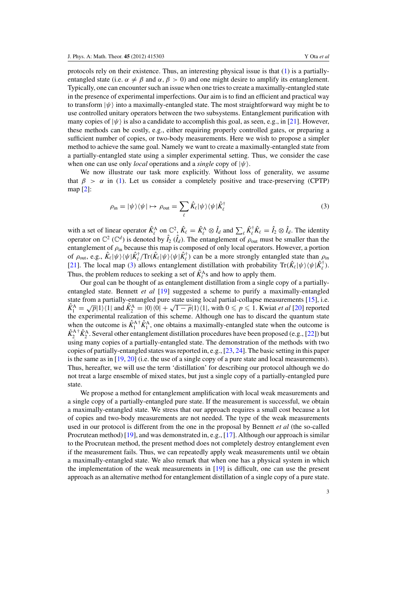<span id="page-3-0"></span>protocols rely on their existence. Thus, an interesting physical issue is that [\(1\)](#page-2-0) is a partiallyentangled state (i.e.  $\alpha \neq \beta$  and  $\alpha, \beta > 0$ ) and one might desire to amplify its entanglement. Typically, one can encounter such an issue when one tries to create a maximally-entangled state in the presence of experimental imperfections. Our aim is to find an efficient and practical way to transform  $|\psi\rangle$  into a maximally-entangled state. The most straightforward way might be to use controlled unitary operators between the two subsystems. Entanglement purification with many copies of  $|\psi\rangle$  is also a candidate to accomplish this goal, as seen, e.g., in [\[21\]](#page-13-0). However, these methods can be costly, e.g., either requiring properly controlled gates, or preparing a sufficient number of copies, or two-body measurements. Here we wish to propose a simpler method to achieve the same goal. Namely we want to create a maximally-entangled state from a partially-entangled state using a simpler experimental setting. Thus, we consider the case when one can use only *local* operations and a *single* copy of  $|\psi\rangle$ .

We now illustrate our task more explicitly. Without loss of generality, we assume that  $\beta > \alpha$  in [\(1\)](#page-2-0). Let us consider a completely positive and trace-preserving (CPTP) map [\[2\]](#page-13-0):

$$
\rho_{\rm in} = |\psi\rangle\langle\psi| \mapsto \rho_{\rm out} = \sum_{\ell} \hat{K}_{\ell} |\psi\rangle\langle\psi| \hat{K}_{\ell}^{\dagger} \tag{3}
$$

with a set of linear operator  $\hat{K}_{\ell}^{A}$  on  $\mathbb{C}^{2}$ ,  $\hat{K}_{\ell} = \hat{K}_{\ell}^{A} \otimes \hat{I}_{d}$  and  $\sum_{\ell} \hat{K}_{\ell}^{\dagger} \hat{K}_{\ell} = \hat{I}_{2} \otimes \hat{I}_{d}$ . The identity operator on  $\mathbb{C}^2$  ( $\mathbb{C}^d$ ) is denoted by  $\hat{I}_2$  ( $\hat{I}_d$ ). The entanglement of  $\rho_{\text{out}}$  must be smaller than the entanglement of  $\rho_{in}$  because this map is composed of only local operators. However, a portion of  $\rho_{\text{out}}$ , e.g.,  $\hat{K}_{\ell}|\psi\rangle\langle\psi|\hat{K}_{\ell}^{\dagger}/\text{Tr}(\hat{K}_{\ell}|\psi\rangle\langle\psi|\hat{K}_{\ell}^{\dagger})$  can be a more strongly entangled state than  $\rho_{\text{in}}$ [\[21](#page-13-0)]. The local map (3) allows entanglement distillation with probability  $\text{Tr}(\hat{K}_{\ell}|\psi\rangle\langle\psi|\hat{K}_{\ell}^{\dagger})$ . Thus, the problem reduces to seeking a set of  $\hat{K}_{\ell}^{A}$ s and how to apply them.

Our goal can be thought of as entanglement distillation from a single copy of a partiallyentangled state. Bennett *et al* [\[19](#page-13-0)] suggested a scheme to purify a maximally-entangled state from a partially-entangled pure state using local partial-collapse measurements [\[15](#page-13-0)], i.e. state from a partially-entangled pure state using local partial-collapse measurements [15], i.e.  $\hat{K}_1^A = \sqrt{p} |1\rangle\langle 1|$  and  $\hat{K}_2^A = |0\rangle\langle 0| + \sqrt{1-p} |1\rangle\langle 1|$ , with  $0 \le p \le 1$ . Kwiat *et al* [\[20](#page-13-0)] reported the experimental realization of this scheme. Although one has to discard the quantum state when the outcome is  $\hat{K}_1^{\text{A} \dagger} \hat{K}_1^{\text{A}}$ , one obtains a maximally-entangled state when the outcome is  $\hat{K}_2^{\text{A} \dagger} \hat{K}_2^{\text{A}}$ . Several other entanglement distillation procedures have been proposed (e.g., [\[22](#page-13-0)]) but using many copies of a partially-entangled state. The demonstration of the methods with two copies of partially-entangled states was reported in, e.g., [\[23,](#page-13-0) [24\]](#page-13-0). The basic setting in this paper is the same as in [\[19,](#page-13-0) [20](#page-13-0)] (i.e. the use of a single copy of a pure state and local measurements). Thus, hereafter, we will use the term 'distillation' for describing our protocol although we do not treat a large ensemble of mixed states, but just a single copy of a partially-entangled pure state.

We propose a method for entanglement amplification with local weak measurements and a single copy of a partially-entangled pure state. If the measurement is successful, we obtain a maximally-entangled state. We stress that our approach requires a small cost because a lot of copies and two-body measurements are not needed. The type of the weak measurements used in our protocol is different from the one in the proposal by Bennett *et al* (the so-called Procrutean method) [\[19](#page-13-0)], and was demonstrated in, e.g., [\[17\]](#page-13-0). Although our approach is similar to the Procrutean method, the present method does not completely destroy entanglement even if the measurement fails. Thus, we can repeatedly apply weak measurements until we obtain a maximally-entangled state. We also remark that when one has a physical system in which the implementation of the weak measurements in [\[19](#page-13-0)] is difficult, one can use the present approach as an alternative method for entanglement distillation of a single copy of a pure state.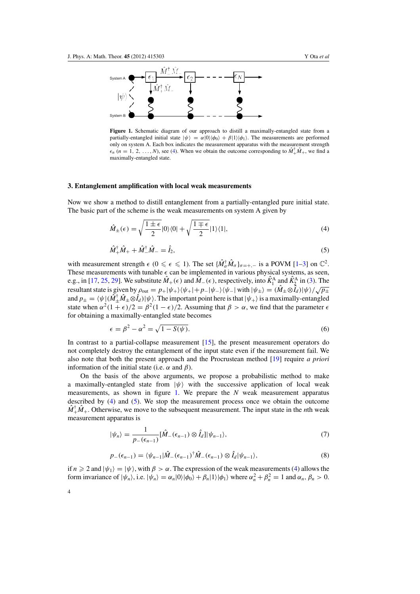<span id="page-4-0"></span>

**Figure 1.** Schematic diagram of our approach to distill a maximally-entangled state from a partially-entangled initial state  $|\psi\rangle = \alpha|0\rangle|\phi_0\rangle + \beta|1\rangle|\phi_1\rangle$ . The measurements are performed only on system A. Each box indicates the measurement apparatus with the measurement strength  $\epsilon_n$  (*n* = 1, 2, ...,*N*), see (4). When we obtain the outcome corresponding to  $\hat{M}_+^{\dagger} \hat{M}_+$ , we find a maximally-entangled state.

#### **3. Entanglement amplification with local weak measurements**

Now we show a method to distill entanglement from a partially-entangled pure initial state. The basic part of the scheme is the weak measurements on system A given by

$$
\hat{M}_{\pm}(\epsilon) = \sqrt{\frac{1 \pm \epsilon}{2}} |0\rangle\langle 0| + \sqrt{\frac{1 \mp \epsilon}{2}} |1\rangle\langle 1|,\tag{4}
$$

$$
\hat{M}_+^{\dagger} \hat{M}_+ + \hat{M}_-^{\dagger} \hat{M}_- = \hat{I}_2,\tag{5}
$$

with measurement strength  $\epsilon$  ( $0 \leq \epsilon \leq 1$ ). The set  $\{\hat{M}_{\sigma}^{\dagger} \hat{M}_{\sigma}\}_{{\sigma}=\pm,-}$  is a POVM [\[1–3](#page-13-0)] on  $\mathbb{C}^2$ . These measurements with tunable  $\epsilon$  can be implemented in various physical systems, as seen, e.g., in [\[17](#page-13-0), [25,](#page-13-0) [29](#page-13-0)]. We substitute  $\hat{M}_+(\epsilon)$  and  $\hat{M}_-(\epsilon)$ , respectively, into  $\hat{K}_1^{\text{A}}$  and  $\hat{K}_2^{\text{A}}$  in [\(3\)](#page-3-0). The resultant state is given by  $\rho_{\text{out}} = p_+ |\psi_+\rangle \langle \psi_+ | + p_- |\psi_-\rangle \langle \psi_- |$  with  $|\psi_{\pm}\rangle = (\hat{M}_{\pm} \otimes \hat{I}_d) |\psi\rangle / \sqrt{p_{\pm}}$ and  $p_\pm = \langle \psi | (\hat{M}_\pm^\dagger \hat{M}_\pm \otimes \hat{I}_d) | \psi \rangle$ . The important point here is that  $|\psi_+ \rangle$  is a maximally-entangled state when  $\alpha^2(1+\epsilon)/2 = \beta^2(1-\epsilon)/2$ . Assuming that  $\beta > \alpha$ , we find that the parameter  $\epsilon$ for obtaining a maximally-entangled state becomes

$$
\epsilon = \beta^2 - \alpha^2 = \sqrt{1 - S(\psi)}.
$$
\n<sup>(6)</sup>

In contrast to a partial-collapse measurement  $[15]$ , the present measurement operators do not completely destroy the entanglement of the input state even if the measurement fail. We also note that both the present approach and the Procrustean method [\[19\]](#page-13-0) require *a priori* information of the initial state (i.e.  $\alpha$  and  $\beta$ ).

On the basis of the above arguments, we propose a probabilistic method to make a maximally-entangled state from  $|\psi\rangle$  with the successive application of local weak measurements, as shown in figure 1. We prepare the *N* weak measurement apparatus described by (4) and (5). We stop the measurement process once we obtain the outcome  $\hat{M}_+^{\dagger} \hat{M}_+$ . Otherwise, we move to the subsequent measurement. The input state in the *n*th weak measurement apparatus is

$$
|\psi_n\rangle = \frac{1}{p_-(\epsilon_{n-1})} [\hat{M}_-(\epsilon_{n-1}) \otimes \hat{I}_d] |\psi_{n-1}\rangle,
$$
\n(7)

$$
p_{-}(\epsilon_{n-1}) = \langle \psi_{n-1} | \hat{M}_{-}(\epsilon_{n-1})^{\dagger} \hat{M}_{-}(\epsilon_{n-1}) \otimes \hat{I}_{d} | \psi_{n-1} \rangle, \tag{8}
$$

if  $n \geq 2$  and  $|\psi_1\rangle = |\psi\rangle$ , with  $\beta > \alpha$ . The expression of the weak measurements (4) allows the form invariance of  $|\psi_n\rangle$ , i.e.  $|\psi_n\rangle = \alpha_n|0\rangle|\phi_0\rangle + \beta_n|1\rangle|\phi_1\rangle$  where  $\alpha_n^2 + \beta_n^2 = 1$  and  $\alpha_n, \beta_n > 0$ .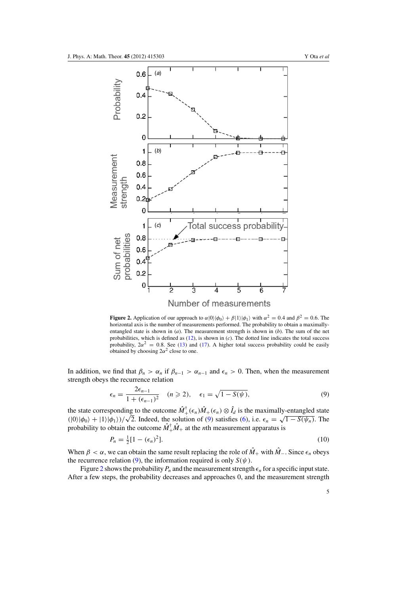<span id="page-5-0"></span>

**Figure 2.** Application of our approach to  $\alpha|0\rangle|\phi_0\rangle + \beta|1\rangle|\phi_1\rangle$  with  $\alpha^2 = 0.4$  and  $\beta^2 = 0.6$ . The horizontal axis is the number of measurements performed. The probability to obtain a maximallyentangled state is shown in (*a*). The measurement strength is shown in (*b*). The sum of the net probabilities, which is defined as [\(12\)](#page-6-0), is shown in (*c*). The dotted line indicates the total success probability,  $2\alpha^2 = 0.8$ . See [\(13\)](#page-6-0) and [\(17\)](#page-7-0). A higher total success probability could be easily obtained by choosing  $2\alpha^2$  close to one.

In addition, we find that  $\beta_n > \alpha_n$  if  $\beta_{n-1} > \alpha_{n-1}$  and  $\epsilon_n > 0$ . Then, when the measurement strength obeys the recurrence relation

$$
\epsilon_n = \frac{2\epsilon_{n-1}}{1 + (\epsilon_{n-1})^2} \quad (n \geqslant 2), \quad \epsilon_1 = \sqrt{1 - S(\psi)}, \tag{9}
$$

the state corresponding to the outcome  $\hat{M}_+^{\dagger}(\epsilon_n)\hat{M}_+(\epsilon_n) \otimes \hat{I}_d$  is the maximally-entangled state the state corresponding to the outcome  $M_+(e_n)M_+(e_n) \otimes I_d$  is the maximally-entangled state  $(|0\rangle|\phi_0\rangle + |1\rangle|\phi_1\rangle)/\sqrt{2}$ . Indeed, the solution of (9) satisfies [\(6\)](#page-4-0), i.e.  $\epsilon_n = \sqrt{1 - S(\psi_n)}$ . The probability to obtain the outcome  $\hat{M}_+^{\dagger} \hat{M}_+$  at the *n*th measurement apparatus is

$$
P_n = \frac{1}{2} [1 - (\epsilon_n)^2].
$$
 (10)

When  $\beta < \alpha$ , we can obtain the same result replacing the role of  $\hat{M}_+$  with  $\hat{M}_-$ . Since  $\epsilon_n$  obeys the recurrence relation (9), the information required is only  $S(\psi)$ .

Figure 2 shows the probability  $P_n$  and the measurement strength  $\epsilon_n$  for a specific input state. After a few steps, the probability decreases and approaches 0, and the measurement strength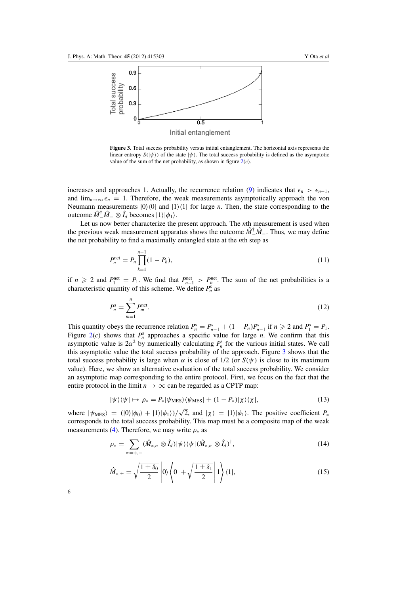<span id="page-6-0"></span>

**Figure 3.** Total success probability versus initial entanglement. The horizontal axis represents the linear entropy  $S(|\psi\rangle)$  of the state  $|\psi\rangle$ . The total success probability is defined as the asymptotic value of the sum of the net probability, as shown in figure [2\(](#page-5-0)*c*).

increases and approaches 1. Actually, the recurrence relation [\(9\)](#page-5-0) indicates that  $\epsilon_n > \epsilon_{n-1}$ , and  $\lim_{n\to\infty} \epsilon_n = 1$ . Therefore, the weak measurements asymptotically approach the von Neumann measurements  $|0\rangle\langle 0|$  and  $|1\rangle\langle 1|$  for large *n*. Then, the state corresponding to the outcome  $\hat{M}^{\dagger}_{-} \hat{M}^{\phantom{\dagger}}_{-} \otimes \hat{I}^{\phantom{\dagger}}_{d}$  becomes  $|1\rangle |\phi_{1}\rangle$ .

Let us now better characterize the present approach. The *n*th measurement is used when the previous weak measurement apparatus shows the outcome  $\hat{M}^{\dagger} \hat{M}$ . Thus, we may define the net probability to find a maximally entangled state at the *n*th step as

$$
P_n^{\text{net}} = P_n \prod_{k=1}^{n-1} (1 - P_k),\tag{11}
$$

if  $n \ge 2$  and  $P_1^{\text{net}} = P_1$ . We find that  $P_{n-1}^{\text{net}} > P_n^{\text{net}}$ . The sum of the net probabilities is a characteristic quantity of this scheme. We define  $P_n^s$  as

$$
P_n^s = \sum_{m=1}^n P_m^{\text{net}}.\tag{12}
$$

This quantity obeys the recurrence relation  $P_n^s = P_{n-1}^s + (1 - P_n)P_{n-1}^s$  if  $n \ge 2$  and  $P_1^s = P_1$ . Figure  $2(c)$  $2(c)$  shows that  $P_n^s$  approaches a specific value for large *n*. We confirm that this asymptotic value is  $2\alpha^2$  by numerically calculating  $P_n^s$  for the various initial states. We call this asymptotic value the total success probability of the approach. Figure 3 shows that the total success probability is large when  $\alpha$  is close of 1/2 (or  $S(\psi)$  is close to its maximum value). Here, we show an alternative evaluation of the total success probability. We consider an asymptotic map corresponding to the entire protocol. First, we focus on the fact that the entire protocol in the limit  $n \to \infty$  can be regarded as a CPTP map:

$$
|\psi\rangle\langle\psi| \mapsto \rho_* = P_*|\psi_{\text{MES}}\rangle\langle\psi_{\text{MES}}| + (1 - P_*)|\chi\rangle\langle\chi|,\tag{13}
$$

where  $|\psi_{\text{MES}}\rangle = (0, |\phi_0\rangle + |1\rangle|\phi_1\rangle)/\sqrt{2}$ , and  $|\chi\rangle = |1\rangle|\phi_1\rangle$ . The positive coefficient  $P_*$ corresponds to the total success probability. This map must be a composite map of the weak measurements [\(4\)](#page-4-0). Therefore, we may write  $\rho_*$  as

$$
\rho_* = \sum_{\sigma = +,-} (\hat{M}_{*,\sigma} \otimes \hat{I}_d) |\psi\rangle \langle \psi | (\hat{M}_{*,\sigma} \otimes \hat{I}_d)^{\dagger}, \tag{14}
$$

$$
\hat{M}_{*,\pm} = \sqrt{\frac{1 \pm \delta_0}{2}} \left| 0 \rangle \left\langle 0 \right| + \sqrt{\frac{1 \pm \delta_1}{2}} \right| 1 \right\rangle \langle 1|, \tag{15}
$$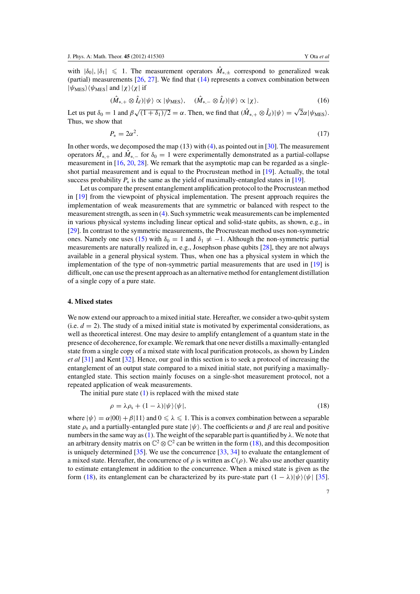<span id="page-7-0"></span>with  $|\delta_0|, |\delta_1| \leq 1$ . The measurement operators  $\hat{M}_{*,\pm}$  correspond to generalized weak (partial) measurements [\[26,](#page-13-0) [27](#page-13-0)]. We find that [\(14\)](#page-6-0) represents a convex combination between  $|\psi_{\text{MES}}\rangle\langle\psi_{\text{MES}}|$  and  $|\chi\rangle\langle\chi|$  if

$$
(\hat{M}_{*,+} \otimes \hat{I}_d)|\psi\rangle \propto |\psi_{\text{MES}}\rangle, \quad (\hat{M}_{*,-} \otimes \hat{I}_d)|\psi\rangle \propto |\chi\rangle. \tag{16}
$$

Let us put  $\delta_0 = 1$  and  $\beta \sqrt{(1 + \delta_1)/2} = \alpha$ . Then, we find that  $(\hat{M}_{*,+} \otimes \hat{I}_d)|\psi\rangle = \sqrt{2}\alpha |\psi_{\text{MES}}\rangle$ . Thus, we show that

$$
P_* = 2\alpha^2. \tag{17}
$$

In other words, we decomposed the map  $(13)$  with  $(4)$ , as pointed out in [\[30\]](#page-13-0). The measurement operators  $\hat{M}_{*,+}$  and  $\hat{M}_{*-}$  for  $\delta_0 = 1$  were experimentally demonstrated as a partial-collapse measurement in  $[16, 20, 28]$  $[16, 20, 28]$  $[16, 20, 28]$  $[16, 20, 28]$  $[16, 20, 28]$ . We remark that the asymptotic map can be regarded as a singleshot partial measurement and is equal to the Procrustean method in [\[19](#page-13-0)]. Actually, the total success probability  $P_*$  is the same as the yield of maximally-entangled states in [\[19\]](#page-13-0).

Let us compare the present entanglement amplification protocol to the Procrustean method in [\[19\]](#page-13-0) from the viewpoint of physical implementation. The present approach requires the implementation of weak measurements that are symmetric or balanced with respect to the measurement strength, as seen in [\(4\)](#page-4-0). Such symmetric weak measurements can be implemented in various physical systems including linear optical and solid-state qubits, as shown, e.g., in [\[29](#page-13-0)]. In contrast to the symmetric measurements, the Procrustean method uses non-symmetric ones. Namely one uses [\(15\)](#page-6-0) with  $\delta_0 = 1$  and  $\delta_1 \neq -1$ . Although the non-symmetric partial measurements are naturally realized in, e.g., Josephson phase qubits [\[28\]](#page-13-0), they are not always available in a general physical system. Thus, when one has a physical system in which the implementation of the type of non-symmetric partial measurements that are used in [\[19](#page-13-0)] is difficult, one can use the present approach as an alternative method for entanglement distillation of a single copy of a pure state.

#### **4. Mixed states**

We now extend our approach to a mixed initial state. Hereafter, we consider a two-qubit system (i.e.  $d = 2$ ). The study of a mixed initial state is motivated by experimental considerations, as well as theoretical interest. One may desire to amplify entanglement of a quantum state in the presence of decoherence, for example. We remark that one never distills a maximally-entangled state from a single copy of a mixed state with local purification protocols, as shown by Linden *et al* [\[31](#page-13-0)] and Kent [\[32\]](#page-13-0). Hence, our goal in this section is to seek a protocol of increasing the entanglement of an output state compared to a mixed initial state, not purifying a maximallyentangled state. This section mainly focuses on a single-shot measurement protocol, not a repeated application of weak measurements.

The initial pure state  $(1)$  is replaced with the mixed state

$$
\rho = \lambda \rho_s + (1 - \lambda) |\psi\rangle\langle\psi|,\tag{18}
$$

where  $|\psi\rangle = \alpha|00\rangle + \beta|11\rangle$  and  $0 \le \lambda \le 1$ . This is a convex combination between a separable state  $\rho_s$  and a partially-entangled pure state  $|\psi\rangle$ . The coefficients  $\alpha$  and  $\beta$  are real and positive numbers in the same way as [\(1\)](#page-2-0). The weight of the separable part is quantified by  $\lambda$ . We note that an arbitrary density matrix on  $\mathbb{C}^2 \otimes \mathbb{C}^2$  can be written in the form (18), and this decomposition is uniquely determined [\[35\]](#page-13-0). We use the concurrence [\[33](#page-13-0), [34](#page-13-0)] to evaluate the entanglement of a mixed state. Hereafter, the concurrence of  $\rho$  is written as  $C(\rho)$ . We also use another quantity to estimate entanglement in addition to the concurrence. When a mixed state is given as the form (18), its entanglement can be characterized by its pure-state part  $(1 - \lambda) |\psi\rangle \langle \psi|$  [\[35\]](#page-13-0).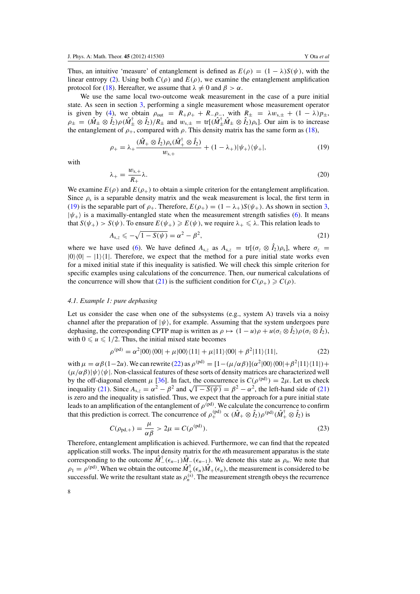<span id="page-8-0"></span>Thus, an intuitive 'measure' of entanglement is defined as  $E(\rho) = (1 - \lambda)S(\psi)$ , with the linear entropy [\(2\)](#page-2-0). Using both  $C(\rho)$  and  $E(\rho)$ , we examine the entanglement amplification protocol for [\(18\)](#page-7-0). Hereafter, we assume that  $\lambda \neq 0$  and  $\beta > \alpha$ .

We use the same local two-outcome weak measurement in the case of a pure initial state. As seen in section [3,](#page-4-0) performing a single measurement whose measurement operator is given by [\(4\)](#page-4-0), we obtain  $\rho_{\text{out}} = R_+ \rho_+ + R_- \rho_-,$  with  $R_{\pm} = \lambda w_{s,\pm} + (1 - \lambda) p_{\pm}$ ,  $\rho_{\pm} = (\hat{M}_{\pm} \otimes \hat{I}_2) \rho (\hat{M}_{\pm}^{\dagger} \otimes \hat{I}_2)/R_{\pm}$  and  $w_{s,\pm} = \text{tr}[(\hat{M}_{\pm}^{\dagger} \hat{M}_{\pm} \otimes \hat{I}_2) \rho_s]$ . Our aim is to increase the entanglement of  $\rho_+$ , compared with  $\rho$ . This density matrix has the same form as [\(18\)](#page-7-0),

$$
\rho_{+} = \lambda_{+} \frac{(\hat{M}_{+} \otimes \hat{I}_{2}) \rho_{s} (\hat{M}_{+}^{\dagger} \otimes \hat{I}_{2})}{w_{s,+}} + (1 - \lambda_{+}) |\psi_{+}\rangle \langle \psi_{+}|,\tag{19}
$$

with

$$
\lambda_{+} = \frac{w_{s,+}}{R_{+}} \lambda.
$$
\n(20)

We examine  $E(\rho)$  and  $E(\rho_{+})$  to obtain a simple criterion for the entanglement amplification. Since  $\rho_s$  is a separable density matrix and the weak measurement is local, the first term in (19) is the separable part of  $\rho_+$ . Therefore,  $E(\rho_+) = (1 - \lambda_+)S(\psi_+)$ . As shown in section [3,](#page-4-0)  $|\psi_{+}\rangle$  is a maximally-entangled state when the measurement strength satisfies [\(6\)](#page-4-0). It means that  $S(\psi_+) > S(\psi)$ . To ensure  $E(\psi_+) \geqslant E(\psi)$ , we require  $\lambda_+ \leqslant \lambda$ . This relation leads to

$$
A_{s,z} \leqslant -\sqrt{1 - S(\psi)} = \alpha^2 - \beta^2,
$$
\n(21)

where we have used [\(6\)](#page-4-0). We have defined  $A_{s,z}$  as  $A_{s,z} = \text{tr}[(\sigma_z \otimes \hat{I}_2)\rho_s]$ , where  $\sigma_z =$  $|0\rangle\langle 0| - |1\rangle\langle 1|$ . Therefore, we expect that the method for a pure initial state works even for a mixed initial state if this inequality is satisfied. We will check this simple criterion for specific examples using calculations of the concurrence. Then, our numerical calculations of the concurrence will show that (21) is the sufficient condition for  $C(\rho_+) \geq C(\rho)$ .

## *4.1. Example 1: pure dephasing*

Let us consider the case when one of the subsystems (e.g., system A) travels via a noisy channel after the preparation of  $|\psi\rangle$ , for example. Assuming that the system undergoes pure dephasing, the corresponding CPTP map is written as  $\rho \mapsto (1 - u)\rho + u(\sigma_z \otimes I_2)\rho(\sigma_z \otimes I_2)$ , with  $0 \le u \le 1/2$ . Thus, the initial mixed state becomes

$$
\rho^{(pd)} = \alpha^2 |00\rangle\langle00| + \mu |00\rangle\langle11| + \mu |11\rangle\langle00| + \beta^2 |11\rangle\langle11|,\tag{22}
$$

with  $\mu = \alpha \beta (1-2u)$ . We can rewrite (22) as  $\rho^{(pd)} = [1-(\mu/\alpha \beta)](\alpha^2|00\rangle\langle00|+\beta^2|11\rangle\langle11|)+$  $(\mu/\alpha\beta)|\psi\rangle\langle\psi|$ . Non-classical features of these sorts of density matrices are characterized well by the off-diagonal element  $\mu$  [\[36](#page-13-0)]. In fact, the concurrence is  $C(\rho^{(pd)}) = 2\mu$ . Let us check inequality (21). Since  $A_{s,z} = \alpha^2 - \beta^2$  and  $\sqrt{1 - S(\psi)} = \beta^2 - \alpha^2$ , the left-hand side of (21) is zero and the inequality is satisfied. Thus, we expect that the approach for a pure initial state leads to an amplification of the entanglement of  $\rho^{(pd)}$ . We calculate the concurrence to confirm that this prediction is correct. The concurrence of  $\rho_+^{(pd)} \propto (\hat{M}_+ \otimes \hat{I}_2) \rho^{(pd)} (\hat{M}_+^{\dagger} \otimes \hat{I}_2)$  is

$$
C(\rho_{\text{pd},+}) = \frac{\mu}{\alpha \beta} > 2\mu = C(\rho^{(\text{pd})}).
$$
\n(23)

Therefore, entanglement amplification is achieved. Furthermore, we can find that the repeated application still works. The input density matrix for the *n*th measurement apparatus is the state corresponding to the outcome  $\hat{M}^{\dagger}(\epsilon_{n-1})\hat{M}(\epsilon_{n-1})$ . We denote this state as  $\rho_n$ . We note that  $\rho_1 = \rho^{(pd)}$ . When we obtain the outcome  $\hat{M}_+^{\dagger}(\epsilon_n)\hat{M}_+(\epsilon_n)$ , the measurement is considered to be successful. We write the resultant state as  $\rho_n^{(s)}$ . The measurement strength obeys the recurrence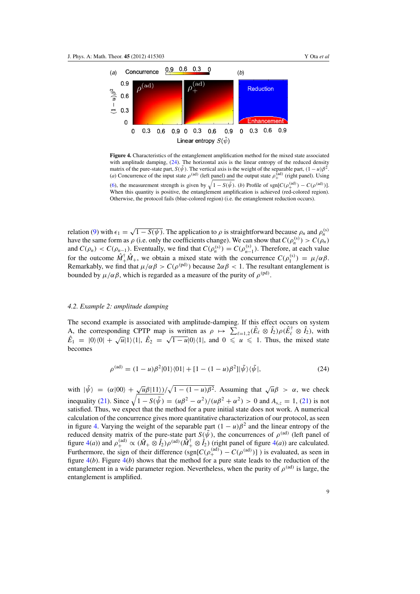<span id="page-9-0"></span>

**Figure 4.** Characteristics of the entanglement amplification method for the mixed state associated with amplitude damping,  $(24)$ . The horizontal axis is the linear entropy of the reduced density matrix of the pure-state part, *S*( $\bar{\psi}$ ). The vertical axis is the weight of the separable part,  $(1 - u)\beta^2$ . (*a*) Concurrence of the input state  $\rho^{(ad)}$  (left panel) and the output state  $\rho^{(ad)}_+$  (right panel). Using [\(6\)](#page-4-0), the measurement strength is given by  $\sqrt{1 - S(\tilde{\psi})}$ . (*b*) Profile of sgn[ $C(\rho_{+}^{(\text{ad})}) - C(\rho^{(\text{ad})})$ ]. When this quantity is positive, the entanglement amplification is achieved (red-colored region). Otherwise, the protocol fails (blue-colored region) (i.e. the entanglement reduction occurs).

relation [\(9\)](#page-5-0) with  $\epsilon_1 = \sqrt{1 - S(\psi)}$ . The application to  $\rho$  is straightforward because  $\rho_n$  and  $\rho_n^{(s)}$ have the same form as  $\rho$  (i.e. only the coefficients change). We can show that  $C(\rho_n^{(s)}) > C(\rho_n)$ and  $C(\rho_n) < C(\rho_{n-1})$ . Eventually, we find that  $C(\rho_n^{(s)}) = C(\rho_{n-1}^{(s)})$ . Therefore, at each value for the outcome  $\hat{M}_+^{\dagger} \hat{M}_+$ , we obtain a mixed state with the concurrence  $C(\rho_1^{(s)}) = \mu/\alpha\beta$ . Remarkably, we find that  $\mu/\alpha\beta > C(\rho^{(pd)})$  because  $2\alpha\beta < 1$ . The resultant entanglement is bounded by  $\mu/\alpha\beta$ , which is regarded as a measure of the purity of  $\rho^{(pd)}$ .

## *4.2. Example 2: amplitude damping*

The second example is associated with amplitude-damping. If this effect occurs on system A, the corresponding CPTP map is written as  $\rho \mapsto \sum_{\ell=1,2} (\hat{E}_{\ell} \otimes \hat{I}_2) \rho (\hat{E}_{\ell}^{\dagger} \otimes \hat{I}_2)$ , with *E*<sub>1</sub> =  $|0\rangle\langle0| + \sqrt{u}|1\rangle\langle1|$ ,  $\hat{E}_2 = \sqrt{1-u}|0\rangle\langle1|$ , and  $0 \le u \le 1$ . Thus, the mixed state becomes

$$
\rho^{\text{(ad)}} = (1 - u)\beta^2 |01\rangle\langle01| + [1 - (1 - u)\beta^2]|\tilde{\psi}\rangle\langle\tilde{\psi}|,\tag{24}
$$

with  $|\tilde{\psi}\rangle = (\alpha|00\rangle + \sqrt{\mu\beta}|11\rangle)/\sqrt{1-(1-\mu)\beta^2}$ . Assuming that  $\sqrt{\mu\beta} > \alpha$ , we check inequality [\(21\)](#page-8-0). Since  $\sqrt{1 - S(\tilde{\psi})} = (\mu \beta^2 - \alpha^2) / (\mu \beta^2 + \alpha^2) > 0$  and  $A_{s,z} = 1$ , (21) is not satisfied. Thus, we expect that the method for a pure initial state does not work. A numerical calculation of the concurrence gives more quantitative characterization of our protocol, as seen in figure 4. Varying the weight of the separable part  $(1 - u)\beta^2$  and the linear entropy of the reduced density matrix of the pure-state part  $S(\tilde{\psi})$ , the concurrences of  $\rho^{\text{(ad)}}$  (left panel of figure  $4(a)$ ) and  $\rho_{+}^{(\text{ad})} \propto (\hat{M}_{+} \otimes \hat{I}_{2}) \rho_{-}^{(\text{ad})} (\hat{M}_{+}^{\dagger} \otimes \hat{I}_{2})$  (right panel of figure  $4(a)$ ) are calculated. Furthermore, the sign of their difference  $(\text{sgn}[C(\rho_{+}^{(\text{ad})}) - C(\rho^{(\text{ad})})]$  is evaluated, as seen in figure  $4(b)$ . Figure  $4(b)$  shows that the method for a pure state leads to the reduction of the entanglement in a wide parameter region. Nevertheless, when the purity of  $\rho^{\text{(ad)}}$  is large, the entanglement is amplified.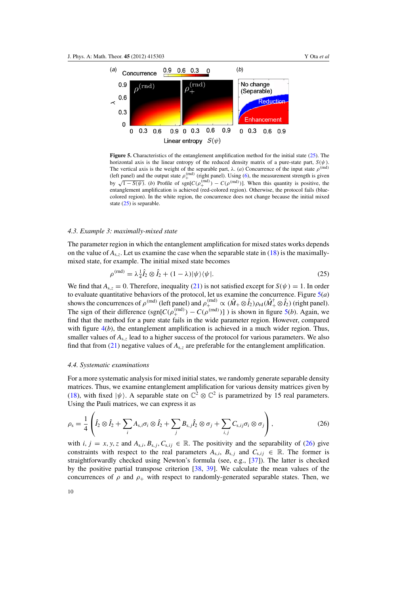

**Figure 5.** Characteristics of the entanglement amplification method for the initial state (25). The horizontal axis is the linear entropy of the reduced density matrix of a pure-state part,  $S(\psi)$ . The vertical axis is the weight of the separable part,  $\lambda$ . (*a*) Concurrence of the input state  $\rho^{(md)}$ (left panel) and the output state  $\rho_{\perp}^{(rad)}$  (right panel). Using [\(6\)](#page-4-0), the measurement strength is given by  $\sqrt{1 - S(\psi)}$ . (*b*) Profile of sgn[ $C(\rho_{\perp}^{(md)}) - C(\rho^{(md)})$ ]. When this quantity is positive, the entanglement amplification is achieved (red-colored region). Otherwise, the protocol fails (bluecolored region). In the white region, the concurrence does not change because the initial mixed state  $(25)$  is separable.

#### *4.3. Example 3: maximally-mixed state*

The parameter region in which the entanglement amplification for mixed states works depends on the value of  $A_s$ <sub>z</sub>. Let us examine the case when the separable state in [\(18\)](#page-7-0) is the maximallymixed state, for example. The initial mixed state becomes

$$
\rho^{\text{(rnd)}} = \lambda \frac{1}{4} \hat{I}_2 \otimes \hat{I}_2 + (1 - \lambda) |\psi\rangle \langle \psi|.
$$
\n(25)

We find that  $A_{s,z} = 0$ . Therefore, inequality [\(21\)](#page-8-0) is not satisfied except for  $S(\psi) = 1$ . In order to evaluate quantitative behaviors of the protocol, let us examine the concurrence. Figure 5(*a*) shows the concurrences of  $\rho^{(rnd)}$  (left panel) and  $\rho_+^{(rnd)} \propto (\hat{M}_+ \otimes \hat{I}_2) \rho_{rd} (\hat{M}_+^{\dagger} \otimes \hat{I}_2)$  (right panel). The sign of their difference  $(\text{sgn}[C(\rho_+^{(rnd)}) - C(\rho^{(rnd)})]$  ) is shown in figure 5(*b*). Again, we find that the method for a pure state fails in the wide parameter region. However, compared with figure  $4(b)$  $4(b)$ , the entanglement amplification is achieved in a much wider region. Thus, smaller values of  $A_{s,z}$  lead to a higher success of the protocol for various parameters. We also find that from [\(21\)](#page-8-0) negative values of *A*s,*<sup>z</sup>* are preferable for the entanglement amplification.

#### *4.4. Systematic examinations*

For a more systematic analysis for mixed initial states, we randomly generate separable density matrices. Thus, we examine entanglement amplification for various density matrices given by [\(18\)](#page-7-0), with fixed  $|\psi\rangle$ . A separable state on  $\mathbb{C}^2 \otimes \mathbb{C}^2$  is parametrized by 15 real parameters. Using the Pauli matrices, we can express it as

$$
\rho_{\rm s} = \frac{1}{4} \left( \hat{I}_2 \otimes \hat{I}_2 + \sum_i A_{\rm s,i} \sigma_i \otimes \hat{I}_2 + \sum_j B_{\rm s,j} \hat{I}_2 \otimes \sigma_j + \sum_{i,j} C_{\rm s,i,j} \sigma_i \otimes \sigma_j \right),\tag{26}
$$

with *i*,  $j = x, y, z$  and  $A_{s,i}, B_{s,j}, C_{s,i} \in \mathbb{R}$ . The positivity and the separability of (26) give constraints with respect to the real parameters  $A_{s,i}$ ,  $B_{s,j}$  and  $C_{s,ij} \in \mathbb{R}$ . The former is straightforwardly checked using Newton's formula (see, e.g., [\[37\]](#page-13-0)). The latter is checked by the positive partial transpose criterion [\[38,](#page-13-0) [39](#page-13-0)]. We calculate the mean values of the concurrences of  $\rho$  and  $\rho_+$  with respect to randomly-generated separable states. Then, we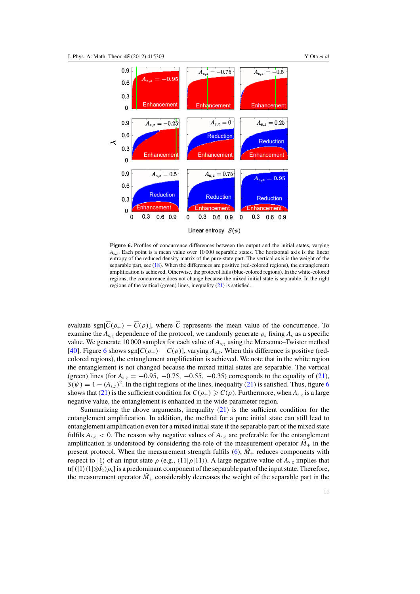

Figure 6. Profiles of concurrence differences between the output and the initial states, varying *A<sub>s,z</sub>*. Each point is a mean value over 10 000 separable states. The horizontal axis is the linear entropy of the reduced density matrix of the pure-state part. The vertical axis is the weight of the separable part, see [\(18\)](#page-7-0). When the differences are positive (red-colored regions), the entanglement amplification is achieved. Otherwise, the protocol fails (blue-colored regions). In the white-colored regions, the concurrence does not change because the mixed initial state is separable. In the right regions of the vertical (green) lines, inequality [\(21\)](#page-8-0) is satisfied.

evaluate sgn[ $\overline{C}(\rho_+) - \overline{C}(\rho)$ ], where  $\overline{C}$  represents the mean value of the concurrence. To examine the  $A_{s,z}$  dependence of the protocol, we randomly generate  $\rho_s$  fixing  $A_s$  as a specific value. We generate 10 000 samples for each value of *A*s,*<sup>z</sup>* using the Mersenne–Twister method [\[40](#page-13-0)]. Figure 6 shows sgn[ $\overline{C}(\rho_+) - \overline{C}(\rho)$ ], varying  $A_{s,z}$ . When this difference is positive (redcolored regions), the entanglement amplification is achieved. We note that in the white region the entanglement is not changed because the mixed initial states are separable. The vertical (green) lines (for  $A_{s,z} = -0.95, -0.75, -0.55, -0.35$ ) corresponds to the equality of [\(21\)](#page-8-0),  $S(\psi) = 1 - (A_{s,z})^2$ . In the right regions of the lines, inequality [\(21\)](#page-8-0) is satisfied. Thus, figure 6 shows that [\(21\)](#page-8-0) is the sufficient condition for  $C(\rho_+) \geqslant C(\rho)$ . Furthermore, when  $A_{s,z}$  is a large negative value, the entanglement is enhanced in the wide parameter region.

Summarizing the above arguments, inequality [\(21\)](#page-8-0) is the sufficient condition for the entanglement amplification. In addition, the method for a pure initial state can still lead to entanglement amplification even for a mixed initial state if the separable part of the mixed state fulfils  $A_{s,z}$  < 0. The reason why negative values of  $A_{s,z}$  are preferable for the entanglement amplification is understood by considering the role of the measurement operator  $\hat{M}_+$  in the present protocol. When the measurement strength fulfils  $(6)$ ,  $\hat{M}_+$  reduces components with respect to  $|1\rangle$  of an input state  $\rho$  (e.g.,  $\langle 11|\rho|11\rangle$ ). A large negative value of  $A_{s,z}$  implies that tr[(|1) $\langle 1|\otimes \hat{I}_2\rangle_{\rho_s}$ ] is a predominant component of the separable part of the input state. Therefore, the measurement operator  $\hat{M}_+$  considerably decreases the weight of the separable part in the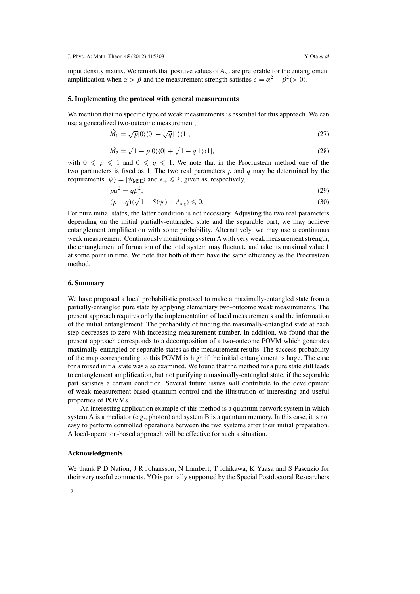<span id="page-12-0"></span>input density matrix. We remark that positive values of *A*s,*<sup>z</sup>* are preferable for the entanglement amplification when  $\alpha > \beta$  and the measurement strength satisfies  $\epsilon = \alpha^2 - \beta^2 (> 0)$ .

#### **5. Implementing the protocol with general measurements**

We mention that no specific type of weak measurements is essential for this approach. We can use a generalized two-outcome measurement,

$$
\hat{M}_1 = \sqrt{p}|0\rangle\langle 0| + \sqrt{q}|1\rangle\langle 1|,\tag{27}
$$

$$
\hat{M}_2 = \sqrt{1-p}|0\rangle\langle 0| + \sqrt{1-q}|1\rangle\langle 1|,\tag{28}
$$

with  $0 \leqslant p \leqslant 1$  and  $0 \leqslant q \leqslant 1$ . We note that in the Procrustean method one of the two parameters is fixed as 1. The two real parameters *p* and *q* may be determined by the requirements  $|\psi\rangle = |\psi_{MSE}\rangle$  and  $\lambda_+ \leq \lambda$ , given as, respectively,

$$
p\alpha^2 = q\beta^2,\tag{29}
$$

$$
(p - q)(\sqrt{1 - S(\psi)} + A_{s,z}) \leq 0. \tag{30}
$$

For pure initial states, the latter condition is not necessary. Adjusting the two real parameters depending on the initial partially-entangled state and the separable part, we may achieve entanglement amplification with some probability. Alternatively, we may use a continuous weak measurement. Continuously monitoring system A with very weak measurement strength, the entanglement of formation of the total system may fluctuate and take its maximal value 1 at some point in time. We note that both of them have the same efficiency as the Procrustean method.

## **6. Summary**

We have proposed a local probabilistic protocol to make a maximally-entangled state from a partially-entangled pure state by applying elementary two-outcome weak measurements. The present approach requires only the implementation of local measurements and the information of the initial entanglement. The probability of finding the maximally-entangled state at each step decreases to zero with increasing measurement number. In addition, we found that the present approach corresponds to a decomposition of a two-outcome POVM which generates maximally-entangled or separable states as the measurement results. The success probability of the map corresponding to this POVM is high if the initial entanglement is large. The case for a mixed initial state was also examined. We found that the method for a pure state still leads to entanglement amplification, but not purifying a maximally-entangled state, if the separable part satisfies a certain condition. Several future issues will contribute to the development of weak measurement-based quantum control and the illustration of interesting and useful properties of POVMs.

An interesting application example of this method is a quantum network system in which system A is a mediator (e.g., photon) and system B is a quantum memory. In this case, it is not easy to perform controlled operations between the two systems after their initial preparation. A local-operation-based approach will be effective for such a situation.

## **Acknowledgments**

We thank P D Nation, J R Johansson, N Lambert, T Ichikawa, K Yuasa and S Pascazio for their very useful comments. YO is partially supported by the Special Postdoctoral Researchers